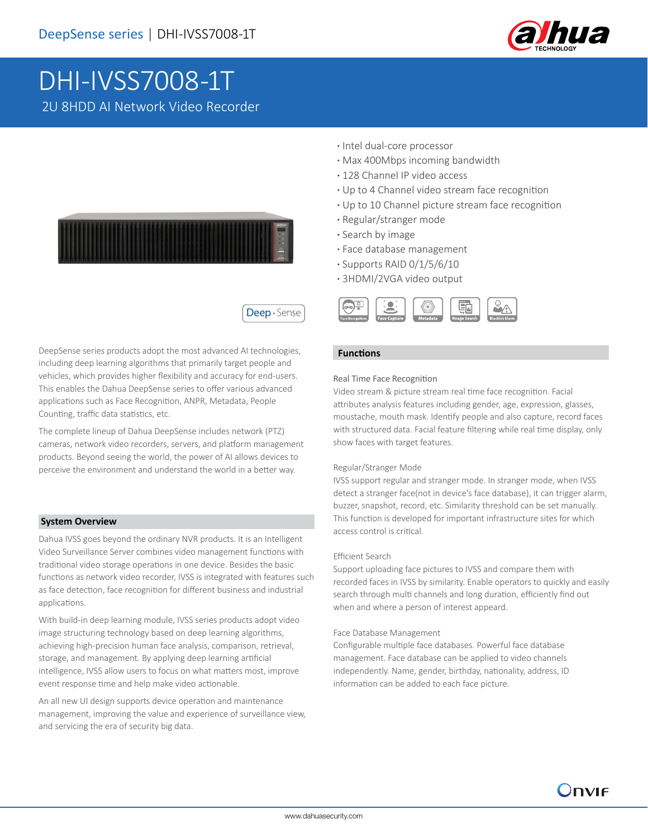

# DHI-IVSS7008-1T 2U 8HDD AI Network Video Recorder



Deep · Sense

DeepSense series products adopt the most advanced AI technologies, including deep learning algorithms that primarily target people and vehicles, which provides higher flexibility and accuracy for end-users. This enables the Dahua DeepSense series to offer various advanced applications such as Face Recognition, ANPR, Metadata, People Counting, traffic data statistics, etc.

The complete lineup of Dahua DeepSense includes network (PTZ) cameras, network video recorders, servers, and platform management products. Beyond seeing the world, the power of AI allows devices to perceive the environment and understand the world in a better way.

#### **System Overview**

Dahua IVSS goes beyond the ordinary NVR products. It is an Intelligent Video Surveillance Server combines video management functions with traditional video storage operations in one device. Besides the basic functions as network video recorder, IVSS is integrated with features such as face detection, face recognition for different business and industrial applications.

With build-in deep learning module, IVSS series products adopt video image structuring technology based on deep learning algorithms, achieving high-precision human face analysis, comparison, retrieval, storage, and management. By applying deep learning artificial intelligence, IVSS allow users to focus on what matters most, improve event response time and help make video actionable.

An all new UI design supports device operation and maintenance management, improving the value and experience of surveillance view, and servicing the era of security big data.

- **·** Intel dual-core processor
- **·** Max 400Mbps incoming bandwidth
- **·** 128 Channel IP video access
- **·** Up to 4 Channel video stream face recognition
- **·** Up to 10 Channel picture stream face recognition
- **·** Regular/stranger mode
- **·** Search by image
- **·** Face database management
- **·** Supports RAID 0/1/5/6/10
- **·** 3HDMI/2VGA video output



#### **Functions**

### Real Time Face Recognition

Video stream & picture stream real time face recognition. Facial attributes analysis features including gender, age, expression, glasses, moustache, mouth mask. Identify people and also capture, record faces with structured data. Facial feature filtering while real time display, only show faces with target features.

#### Regular/Stranger Mode

IVSS support regular and stranger mode. In stranger mode, when IVSS detect a stranger face(not in device's face database), it can trigger alarm, buzzer, snapshot, record, etc. Similarity threshold can be set manually. This function is developed for important infrastructure sites for which access control is critical.

#### Efficient Search

Support uploading face pictures to IVSS and compare them with recorded faces in IVSS by similarity. Enable operators to quickly and easily search through multi channels and long duration, efficiently find out when and where a person of interest appeard.

#### Face Database Management

Configurable multiple face databases. Powerful face database management. Face database can be applied to video channels independently. Name, gender, birthday, nationality, address, ID information can be added to each face picture.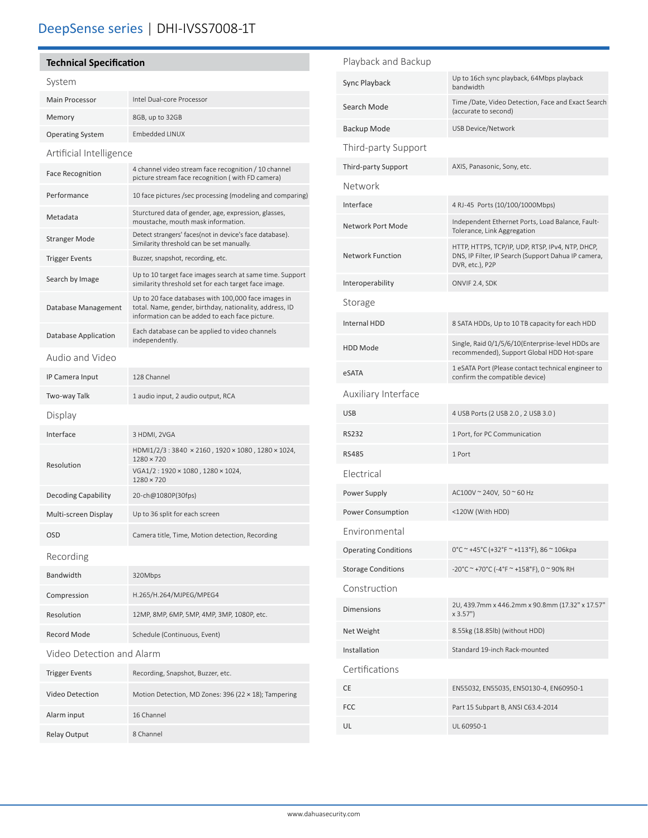# **Technical Specification**

# System

| Main Processor          | Intel Dual-core Processor |
|-------------------------|---------------------------|
| Memory                  | 8GB, up to 32GB           |
| <b>Operating System</b> | Embedded LINUX            |
|                         |                           |

Artificial Intelligence

Relay Output 8 Channel

| <b>Face Recognition</b>   | 4 channel video stream face recognition / 10 channel<br>picture stream face recognition (with FD camera)                                                         |
|---------------------------|------------------------------------------------------------------------------------------------------------------------------------------------------------------|
| Performance               | 10 face pictures /sec processing (modeling and comparing)                                                                                                        |
| Metadata                  | Sturctured data of gender, age, expression, glasses,<br>moustache, mouth mask information.                                                                       |
| <b>Stranger Mode</b>      | Detect strangers' faces(not in device's face database).<br>Similarity threshold can be set manually.                                                             |
| <b>Trigger Events</b>     | Buzzer, snapshot, recording, etc.                                                                                                                                |
| Search by Image           | Up to 10 target face images search at same time. Support<br>similarity threshold set for each target face image.                                                 |
| Database Management       | Up to 20 face databases with 100,000 face images in<br>total. Name, gender, birthday, nationality, address, ID<br>information can be added to each face picture. |
| Database Application      | Each database can be applied to video channels<br>independently.                                                                                                 |
| Audio and Video           |                                                                                                                                                                  |
| IP Camera Input           | 128 Channel                                                                                                                                                      |
| Two-way Talk              | 1 audio input, 2 audio output, RCA                                                                                                                               |
| Display                   |                                                                                                                                                                  |
| Interface                 | 3 HDMI, 2VGA                                                                                                                                                     |
|                           |                                                                                                                                                                  |
|                           | HDMI1/2/3:3840 × 2160, 1920 × 1080, 1280 × 1024,<br>$1280 \times 720$                                                                                            |
| Resolution                | VGA1/2:1920 × 1080, 1280 × 1024,<br>$1280 \times 720$                                                                                                            |
| Decoding Capability       | 20-ch@1080P(30fps)                                                                                                                                               |
| Multi-screen Display      | Up to 36 split for each screen                                                                                                                                   |
| <b>OSD</b>                | Camera title, Time, Motion detection, Recording                                                                                                                  |
| Recording                 |                                                                                                                                                                  |
| Bandwidth                 | 320Mbps                                                                                                                                                          |
| Compression               | H.265/H.264/MJPEG/MPEG4                                                                                                                                          |
| Resolution                | 12MP, 8MP, 6MP, 5MP, 4MP, 3MP, 1080P, etc.                                                                                                                       |
| Record Mode               | Schedule (Continuous, Event)                                                                                                                                     |
| Video Detection and Alarm |                                                                                                                                                                  |
| <b>Trigger Events</b>     | Recording, Snapshot, Buzzer, etc.                                                                                                                                |
| <b>Video Detection</b>    | Motion Detection, MD Zones: 396 (22 × 18); Tampering                                                                                                             |

# Playback and Backup

| Sync Playback               | Up to 16ch sync playback, 64Mbps playback<br>bandwidth                                                                     |
|-----------------------------|----------------------------------------------------------------------------------------------------------------------------|
| Search Mode                 | Time /Date, Video Detection, Face and Exact Search<br>(accurate to second)                                                 |
| Backup Mode                 | <b>USB Device/Network</b>                                                                                                  |
| Third-party Support         |                                                                                                                            |
| Third-party Support         | AXIS, Panasonic, Sony, etc.                                                                                                |
| Network                     |                                                                                                                            |
| Interface                   | 4 RJ-45 Ports (10/100/1000Mbps)                                                                                            |
| Network Port Mode           | Independent Ethernet Ports, Load Balance, Fault-<br>Tolerance, Link Aggregation                                            |
| <b>Network Function</b>     | HTTP, HTTPS, TCP/IP, UDP, RTSP, IPv4, NTP, DHCP,<br>DNS, IP Filter, IP Search (Support Dahua IP camera,<br>DVR, etc.), P2P |
| Interoperability            | ONVIF 2.4, SDK                                                                                                             |
| Storage                     |                                                                                                                            |
| <b>Internal HDD</b>         | 8 SATA HDDs, Up to 10 TB capacity for each HDD                                                                             |
| <b>HDD Mode</b>             | Single, Raid 0/1/5/6/10(Enterprise-level HDDs are<br>recommended), Support Global HDD Hot-spare                            |
| eSATA                       | 1 eSATA Port (Please contact technical engineer to<br>confirm the compatible device)                                       |
| Auxiliary Interface         |                                                                                                                            |
| <b>USB</b>                  | 4 USB Ports (2 USB 2.0, 2 USB 3.0)                                                                                         |
| <b>RS232</b>                | 1 Port, for PC Communication                                                                                               |
| <b>RS485</b>                | 1 Port                                                                                                                     |
| Electrical                  |                                                                                                                            |
| Power Supply                | AC100V ~ 240V, 50 ~ 60 Hz                                                                                                  |
| Power Consumption           | <120W (With HDD)                                                                                                           |
| Environmental               |                                                                                                                            |
| <b>Operating Conditions</b> | 0°C ~ +45°C (+32°F ~ +113°F), 86 ~ 106kpa                                                                                  |
| <b>Storage Conditions</b>   | -20°C ~ +70°C (-4°F ~ +158°F), 0 ~ 90% RH                                                                                  |
| Construction                |                                                                                                                            |
| <b>Dimensions</b>           | 2U, 439.7mm x 446.2mm x 90.8mm (17.32" x 17.57"<br>x 3.57"                                                                 |
| Net Weight                  | 8.55kg (18.85lb) (without HDD)                                                                                             |
| Installation                | Standard 19-inch Rack-mounted                                                                                              |
| Certifications              |                                                                                                                            |
| CE                          | EN55032, EN55035, EN50130-4, EN60950-1                                                                                     |
| FCC                         | Part 15 Subpart B, ANSI C63.4-2014                                                                                         |
| UL                          | UL 60950-1                                                                                                                 |